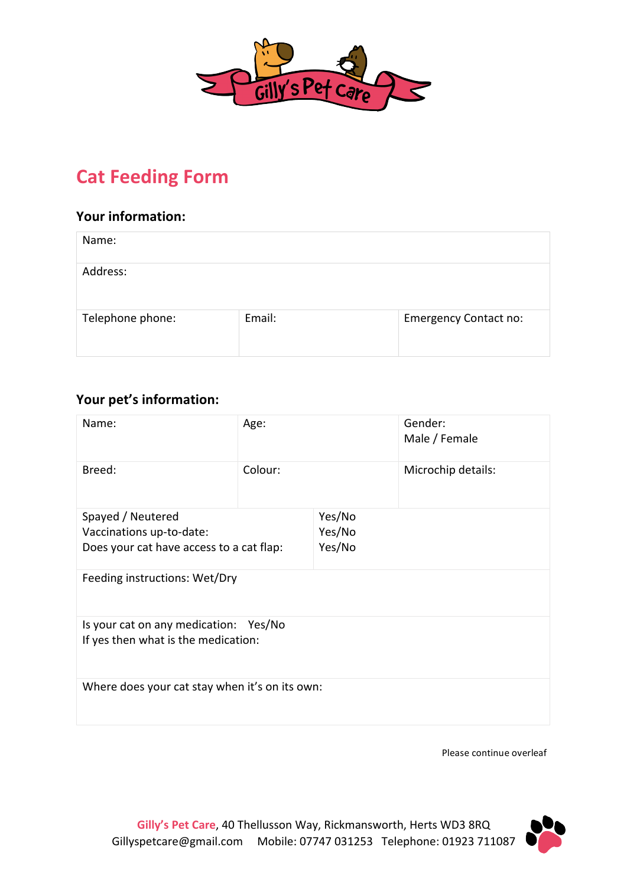

# **Cat Feeding Form**

# **Your information:**

| Name:            |        |                              |
|------------------|--------|------------------------------|
| Address:         |        |                              |
| Telephone phone: | Email: | <b>Emergency Contact no:</b> |

# **Your pet's information:**

| Name:                                          | Age:    |        | Gender:<br>Male / Female |  |
|------------------------------------------------|---------|--------|--------------------------|--|
| Breed:                                         | Colour: |        | Microchip details:       |  |
| Spayed / Neutered                              |         | Yes/No |                          |  |
| Vaccinations up-to-date:                       |         | Yes/No |                          |  |
| Does your cat have access to a cat flap:       |         | Yes/No |                          |  |
| Feeding instructions: Wet/Dry                  |         |        |                          |  |
| Is your cat on any medication: Yes/No          |         |        |                          |  |
| If yes then what is the medication:            |         |        |                          |  |
| Where does your cat stay when it's on its own: |         |        |                          |  |

Please continue overleaf